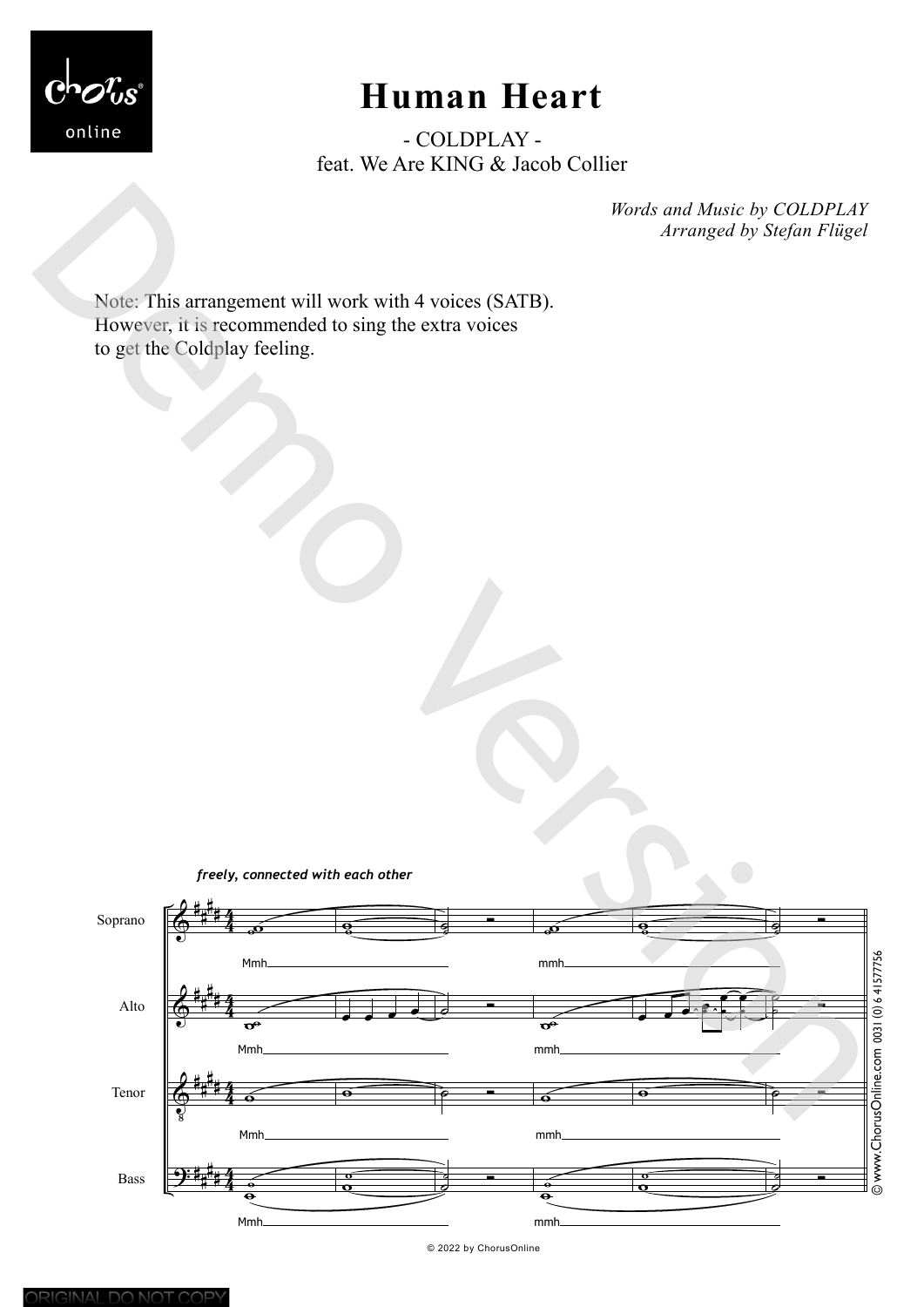

## **Human Heart**

- COLDPLAY feat. We Are KING & Jacob Collier

> *Words and Music by COLDPLAY Arranged by Stefan Flügel*

Note: This arrangement will work with 4 voices (SATB). However, it is recommended to sing the extra voices to get the Coldplay feeling.





© 2022 by ChorusOnline